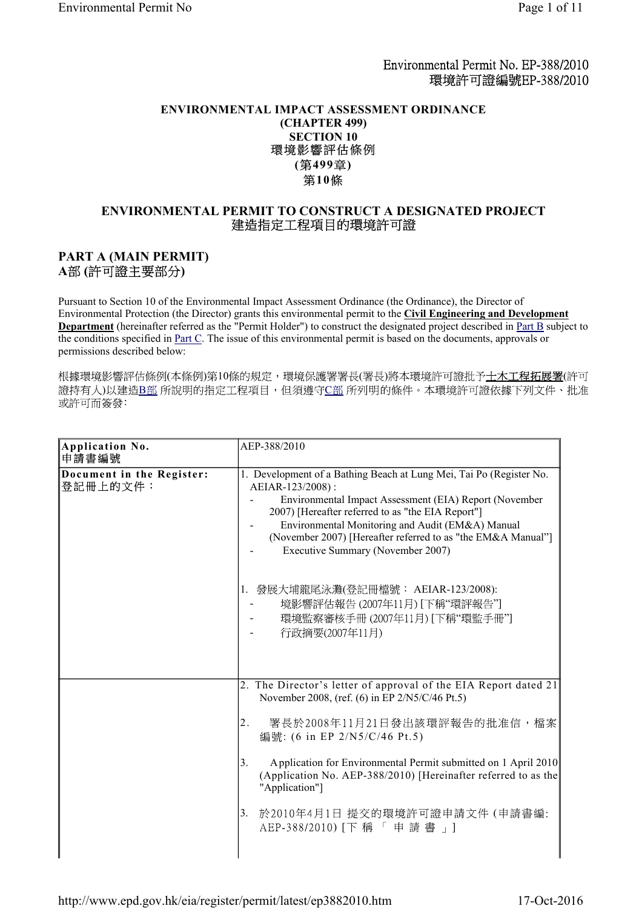Environmental Permit No. EP-388/2010 環境許可證編號EP-388/2010

## **ENVIRONMENTAL IMPACT ASSESSMENT ORDINANCE (CHAPTER 499) SECTION 10**<br>環境影響評估條例 **( 499 )** 第10條

# **ENVIRONMENTAL PERMIT TO CONSTRUCT A DESIGNATED PROJECT**

## **PART A (MAIN PERMIT)**

A部(許可證主要部分)

Pursuant to Section 10 of the Environmental Impact Assessment Ordinance (the Ordinance), the Director of Environmental Protection (the Director) grants this environmental permit to the **Civil Engineering and Development Department** (hereinafter referred as the "Permit Holder") to construct the designated project described in Part B subject to the conditions specified in Part C. The issue of this environmental permit is based on the documents, approvals or permissions described below:

根據環境影響評估條例(本條例)第10條的規定,環境保護署署長(署長)將本環境許可證批予土木工程拓展署(許可 證持有人)以建造B部所說明的指定工程項目,但須遵守C部所列明的條件。本環境許可證依據下列文件、批准 或許可而簽發:

| Application No.<br>申請書編號              | AEP-388/2010                                                                                                                                                                                                                                                                                                                                                                                                                                                                               |
|---------------------------------------|--------------------------------------------------------------------------------------------------------------------------------------------------------------------------------------------------------------------------------------------------------------------------------------------------------------------------------------------------------------------------------------------------------------------------------------------------------------------------------------------|
| Document in the Register:<br>登記冊上的文件: | 1. Development of a Bathing Beach at Lung Mei, Tai Po (Register No.<br>AEIAR-123/2008):<br>Environmental Impact Assessment (EIA) Report (November<br>2007) [Hereafter referred to as "the EIA Report"]<br>Environmental Monitoring and Audit (EM&A) Manual<br>(November 2007) [Hereafter referred to as "the EM&A Manual"]<br>Executive Summary (November 2007)<br>1. 發展大埔龍尾泳灘(登記冊檔號: AEIAR-123/2008):<br>境影響評估報告(2007年11月) [下稱"環評報告"]<br>環境監察審核手冊 (2007年11月) [下稱"環監手冊"]<br>行政摘要(2007年11月) |
|                                       | 2. The Director's letter of approval of the EIA Report dated 21<br>November 2008, (ref. (6) in EP 2/N5/C/46 Pt.5)<br>署長於2008年11月21日發出該環評報告的批准信,檔案<br>2.<br>編號: (6 in EP 2/N5/C/46 Pt.5)<br>Application for Environmental Permit submitted on 1 April 2010<br>3.<br>(Application No. AEP-388/2010) [Hereinafter referred to as the<br>"Application"]<br>於2010年4月1日 提交的環境許可證申請文件 (申請書編:<br>3.<br>AEP-388/2010) [下稱「申請書」]                                                                     |

http://www.epd.gov.hk/eia/register/permit/latest/ep3882010.htm 17-Oct-2016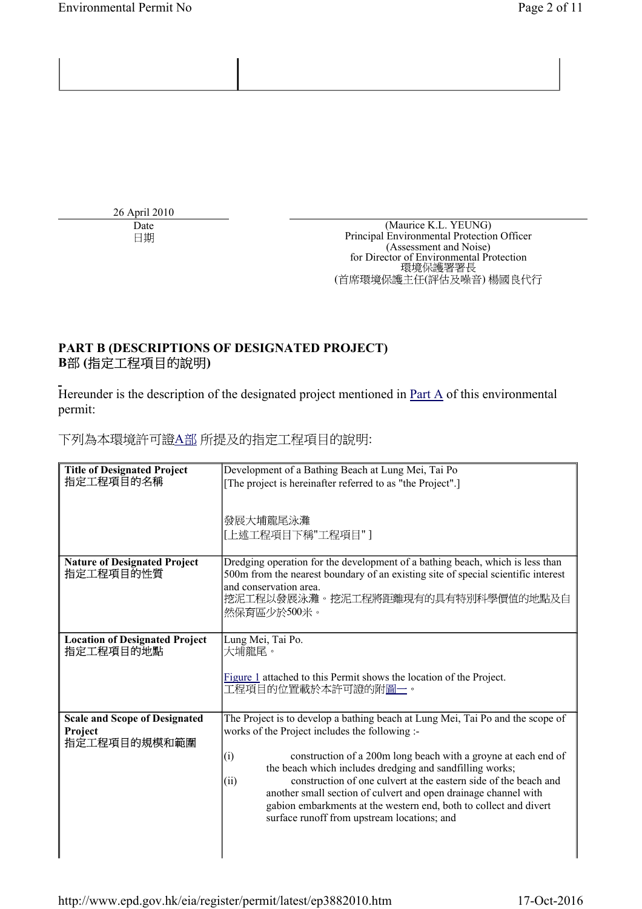26 April 2010

Date (Maurice K.L. YEUNG) Principal Environmental Protection Officer (Assessment and Noise) for Director of Environmental Protection<br>環境保護署署長 (首席環境保護主任(評估及噪音)楊國良代行

## **PART B (DESCRIPTIONS OF DESIGNATED PROJECT)** B部(指定工程項目的說明)

Hereunder is the description of the designated project mentioned in  $Part A$  of this environmental</u> permit:

下列為本環境許可證A部 所提及的指定工程項目的說明:

| <b>Title of Designated Project</b><br>指定工程項目的名稱                 | Development of a Bathing Beach at Lung Mei, Tai Po<br>[The project is hereinafter referred to as "the Project".]<br>發展大埔龍尾泳灘                                                                                                                                                                                                                                                                                                                                                                                                             |
|-----------------------------------------------------------------|------------------------------------------------------------------------------------------------------------------------------------------------------------------------------------------------------------------------------------------------------------------------------------------------------------------------------------------------------------------------------------------------------------------------------------------------------------------------------------------------------------------------------------------|
|                                                                 | [上述工程項目下稱"工程項目"]                                                                                                                                                                                                                                                                                                                                                                                                                                                                                                                         |
| <b>Nature of Designated Project</b><br>指定工程項目的性質                | Dredging operation for the development of a bathing beach, which is less than<br>500m from the nearest boundary of an existing site of special scientific interest<br>and conservation area.<br> 挖泥工程以發展泳灘。挖泥工程將距離現有的具有特別科學價值的地點及自<br>然保育區少於500米。                                                                                                                                                                                                                                                                                        |
| <b>Location of Designated Project</b><br>指定工程項目的地點              | Lung Mei, Tai Po.<br>大埔龍尾。<br>Figure 1 attached to this Permit shows the location of the Project.<br>工程項目的位置載於本許可證的附圖一。                                                                                                                                                                                                                                                                                                                                                                                                                  |
| <b>Scale and Scope of Designated</b><br>Project<br>指定工程項目的規模和範圍 | The Project is to develop a bathing beach at Lung Mei, Tai Po and the scope of<br>works of the Project includes the following :-<br>(i)<br>construction of a 200m long beach with a groyne at each end of<br>the beach which includes dredging and sandfilling works;<br>construction of one culvert at the eastern side of the beach and<br>(ii)<br>another small section of culvert and open drainage channel with<br>gabion embarkments at the western end, both to collect and divert<br>surface runoff from upstream locations; and |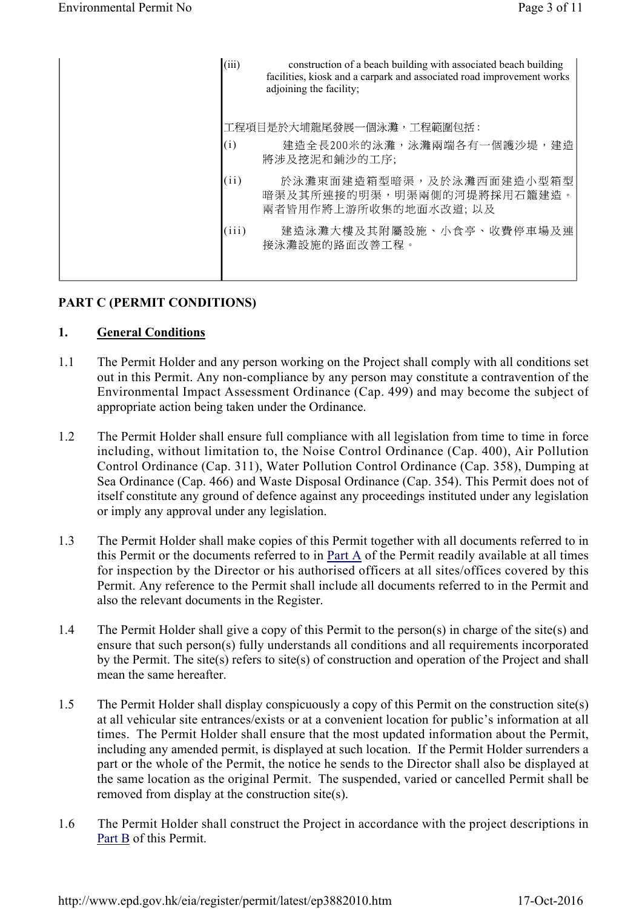| (iii) | construction of a beach building with associated beach building<br>facilities, kiosk and a carpark and associated road improvement works<br>adjoining the facility; |
|-------|---------------------------------------------------------------------------------------------------------------------------------------------------------------------|
| (i)   | 工程項目是於大埔龍尾發展一個泳灘,工程範圍包括:<br>建造全長200米的泳灘,泳灘兩端各有一個護沙堤,建造<br>將涉及挖泥和鋪沙的工序;                                                                                              |
| (ii)  | 於泳灘東面建造箱型暗渠,及於泳灘西面建造小型箱型<br>暗渠及其所連接的明渠,明渠兩側的河堤將採用石籠建造。<br>兩者皆用作將上游所收集的地面水改道; 以及                                                                                     |
| (iii) | 建造泳灘大樓及其附屬設施、小食亭、收費停車場及連<br>接泳灘設施的路面改善工程。                                                                                                                           |

## **PART C (PERMIT CONDITIONS)**

#### **1. General Conditions**

- 1.1 The Permit Holder and any person working on the Project shall comply with all conditions set out in this Permit. Any non-compliance by any person may constitute a contravention of the Environmental Impact Assessment Ordinance (Cap. 499) and may become the subject of appropriate action being taken under the Ordinance.
- 1.2 The Permit Holder shall ensure full compliance with all legislation from time to time in force including, without limitation to, the Noise Control Ordinance (Cap. 400), Air Pollution Control Ordinance (Cap. 311), Water Pollution Control Ordinance (Cap. 358), Dumping at Sea Ordinance (Cap. 466) and Waste Disposal Ordinance (Cap. 354). This Permit does not of itself constitute any ground of defence against any proceedings instituted under any legislation or imply any approval under any legislation.
- 1.3 The Permit Holder shall make copies of this Permit together with all documents referred to in this Permit or the documents referred to in Part A of the Permit readily available at all times for inspection by the Director or his authorised officers at all sites/offices covered by this Permit. Any reference to the Permit shall include all documents referred to in the Permit and also the relevant documents in the Register.
- 1.4 The Permit Holder shall give a copy of this Permit to the person(s) in charge of the site(s) and ensure that such person(s) fully understands all conditions and all requirements incorporated by the Permit. The site(s) refers to site(s) of construction and operation of the Project and shall mean the same hereafter.
- 1.5 The Permit Holder shall display conspicuously a copy of this Permit on the construction site(s) at all vehicular site entrances/exists or at a convenient location for public's information at all times. The Permit Holder shall ensure that the most updated information about the Permit, including any amended permit, is displayed at such location. If the Permit Holder surrenders a part or the whole of the Permit, the notice he sends to the Director shall also be displayed at the same location as the original Permit. The suspended, varied or cancelled Permit shall be removed from display at the construction site(s).
- 1.6 The Permit Holder shall construct the Project in accordance with the project descriptions in Part B of this Permit.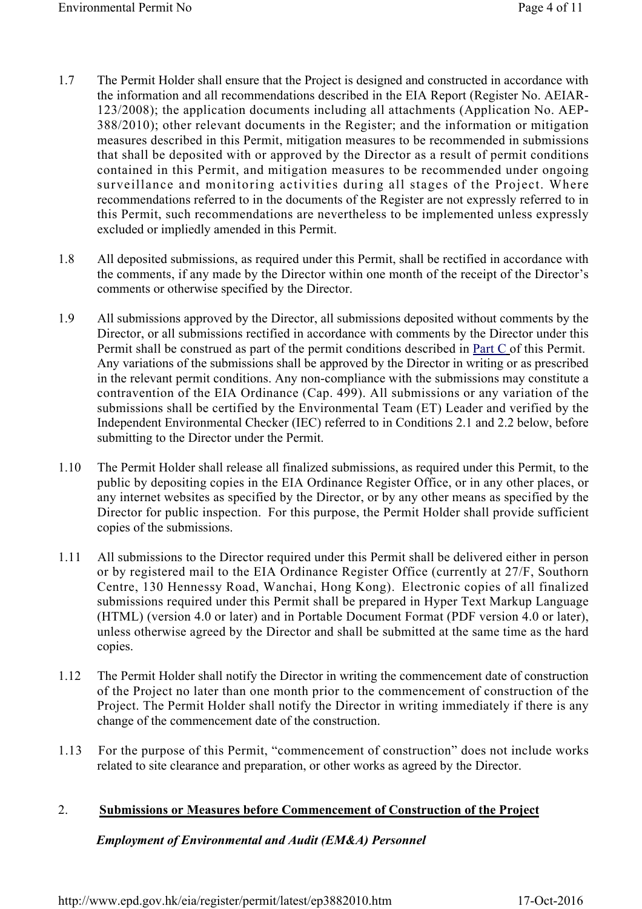- 1.7 The Permit Holder shall ensure that the Project is designed and constructed in accordance with the information and all recommendations described in the EIA Report (Register No. AEIAR-123/2008); the application documents including all attachments (Application No. AEP-388/2010); other relevant documents in the Register; and the information or mitigation measures described in this Permit, mitigation measures to be recommended in submissions that shall be deposited with or approved by the Director as a result of permit conditions contained in this Permit, and mitigation measures to be recommended under ongoing surveillance and monitoring activities during all stages of the Project. Where recommendations referred to in the documents of the Register are not expressly referred to in this Permit, such recommendations are nevertheless to be implemented unless expressly excluded or impliedly amended in this Permit.
- 1.8 All deposited submissions, as required under this Permit, shall be rectified in accordance with the comments, if any made by the Director within one month of the receipt of the Director's comments or otherwise specified by the Director.
- 1.9 All submissions approved by the Director, all submissions deposited without comments by the Director, or all submissions rectified in accordance with comments by the Director under this Permit shall be construed as part of the permit conditions described in Part C of this Permit. Any variations of the submissions shall be approved by the Director in writing or as prescribed in the relevant permit conditions. Any non-compliance with the submissions may constitute a contravention of the EIA Ordinance (Cap. 499). All submissions or any variation of the submissions shall be certified by the Environmental Team (ET) Leader and verified by the Independent Environmental Checker (IEC) referred to in Conditions 2.1 and 2.2 below, before submitting to the Director under the Permit.
- 1.10 The Permit Holder shall release all finalized submissions, as required under this Permit, to the public by depositing copies in the EIA Ordinance Register Office, or in any other places, or any internet websites as specified by the Director, or by any other means as specified by the Director for public inspection. For this purpose, the Permit Holder shall provide sufficient copies of the submissions.
- 1.11 All submissions to the Director required under this Permit shall be delivered either in person or by registered mail to the EIA Ordinance Register Office (currently at 27/F, Southorn Centre, 130 Hennessy Road, Wanchai, Hong Kong). Electronic copies of all finalized submissions required under this Permit shall be prepared in Hyper Text Markup Language (HTML) (version 4.0 or later) and in Portable Document Format (PDF version 4.0 or later), unless otherwise agreed by the Director and shall be submitted at the same time as the hard copies.
- 1.12 The Permit Holder shall notify the Director in writing the commencement date of construction of the Project no later than one month prior to the commencement of construction of the Project. The Permit Holder shall notify the Director in writing immediately if there is any change of the commencement date of the construction.
- 1.13 For the purpose of this Permit, "commencement of construction" does not include works related to site clearance and preparation, or other works as agreed by the Director.

## 2. **Submissions or Measures before Commencement of Construction of the Project**

#### *Employment of Environmental and Audit (EM&A) Personnel*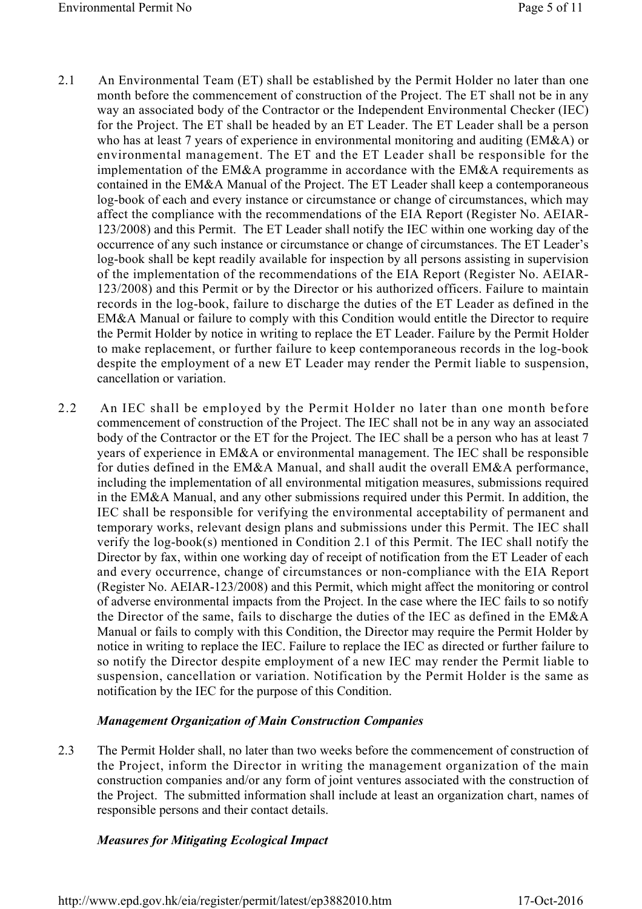- 2.1 An Environmental Team (ET) shall be established by the Permit Holder no later than one month before the commencement of construction of the Project. The ET shall not be in any way an associated body of the Contractor or the Independent Environmental Checker (IEC) for the Project. The ET shall be headed by an ET Leader. The ET Leader shall be a person who has at least 7 years of experience in environmental monitoring and auditing (EM&A) or environmental management. The ET and the ET Leader shall be responsible for the implementation of the EM&A programme in accordance with the EM&A requirements as contained in the EM&A Manual of the Project. The ET Leader shall keep a contemporaneous log-book of each and every instance or circumstance or change of circumstances, which may affect the compliance with the recommendations of the EIA Report (Register No. AEIAR-123/2008) and this Permit. The ET Leader shall notify the IEC within one working day of the occurrence of any such instance or circumstance or change of circumstances. The ET Leader's log-book shall be kept readily available for inspection by all persons assisting in supervision of the implementation of the recommendations of the EIA Report (Register No. AEIAR-123/2008) and this Permit or by the Director or his authorized officers. Failure to maintain records in the log-book, failure to discharge the duties of the ET Leader as defined in the EM&A Manual or failure to comply with this Condition would entitle the Director to require the Permit Holder by notice in writing to replace the ET Leader. Failure by the Permit Holder to make replacement, or further failure to keep contemporaneous records in the log-book despite the employment of a new ET Leader may render the Permit liable to suspension, cancellation or variation.
- 2.2 An IEC shall be employed by the Permit Holder no later than one month before commencement of construction of the Project. The IEC shall not be in any way an associated body of the Contractor or the ET for the Project. The IEC shall be a person who has at least 7 years of experience in EM&A or environmental management. The IEC shall be responsible for duties defined in the EM&A Manual, and shall audit the overall EM&A performance, including the implementation of all environmental mitigation measures, submissions required in the EM&A Manual, and any other submissions required under this Permit. In addition, the IEC shall be responsible for verifying the environmental acceptability of permanent and temporary works, relevant design plans and submissions under this Permit. The IEC shall verify the log-book(s) mentioned in Condition 2.1 of this Permit. The IEC shall notify the Director by fax, within one working day of receipt of notification from the ET Leader of each and every occurrence, change of circumstances or non-compliance with the EIA Report (Register No. AEIAR-123/2008) and this Permit, which might affect the monitoring or control of adverse environmental impacts from the Project. In the case where the IEC fails to so notify the Director of the same, fails to discharge the duties of the IEC as defined in the EM&A Manual or fails to comply with this Condition, the Director may require the Permit Holder by notice in writing to replace the IEC. Failure to replace the IEC as directed or further failure to so notify the Director despite employment of a new IEC may render the Permit liable to suspension, cancellation or variation. Notification by the Permit Holder is the same as notification by the IEC for the purpose of this Condition.

#### *Management Organization of Main Construction Companies*

2.3 The Permit Holder shall, no later than two weeks before the commencement of construction of the Project, inform the Director in writing the management organization of the main construction companies and/or any form of joint ventures associated with the construction of the Project. The submitted information shall include at least an organization chart, names of responsible persons and their contact details.

#### *Measures for Mitigating Ecological Impact*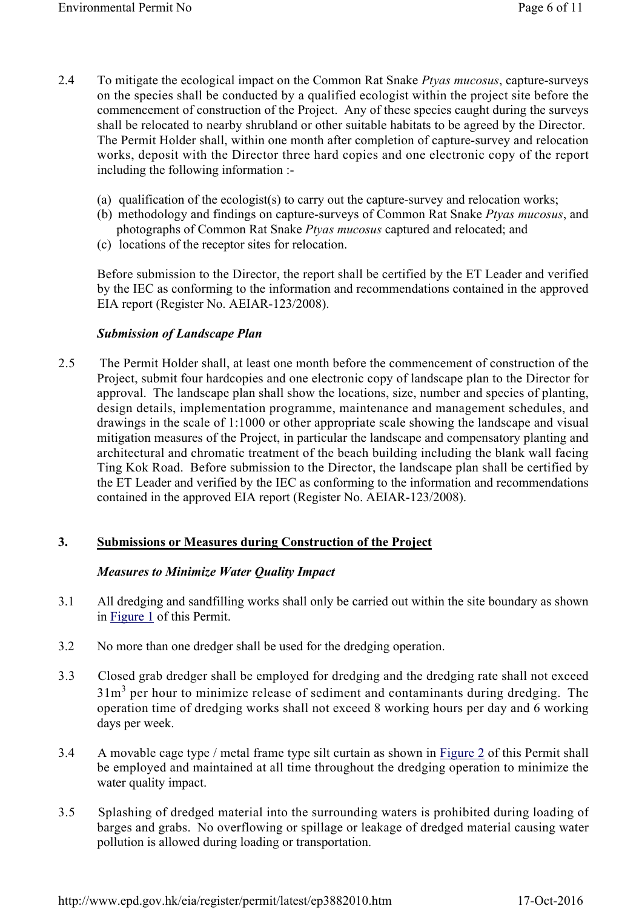- 2.4 To mitigate the ecological impact on the Common Rat Snake *Ptyas mucosus*, capture-surveys on the species shall be conducted by a qualified ecologist within the project site before the commencement of construction of the Project. Any of these species caught during the surveys shall be relocated to nearby shrubland or other suitable habitats to be agreed by the Director. The Permit Holder shall, within one month after completion of capture-survey and relocation works, deposit with the Director three hard copies and one electronic copy of the report including the following information :-
	- (a) qualification of the ecologist(s) to carry out the capture-survey and relocation works;
	- (b) methodology and findings on capture-surveys of Common Rat Snake *Ptyas mucosus*, and photographs of Common Rat Snake *Ptyas mucosus* captured and relocated; and
	- (c) locations of the receptor sites for relocation.

Before submission to the Director, the report shall be certified by the ET Leader and verified by the IEC as conforming to the information and recommendations contained in the approved EIA report (Register No. AEIAR-123/2008).

#### *Submission of Landscape Plan*

2.5 The Permit Holder shall, at least one month before the commencement of construction of the Project, submit four hardcopies and one electronic copy of landscape plan to the Director for approval. The landscape plan shall show the locations, size, number and species of planting, design details, implementation programme, maintenance and management schedules, and drawings in the scale of 1:1000 or other appropriate scale showing the landscape and visual mitigation measures of the Project, in particular the landscape and compensatory planting and architectural and chromatic treatment of the beach building including the blank wall facing Ting Kok Road. Before submission to the Director, the landscape plan shall be certified by the ET Leader and verified by the IEC as conforming to the information and recommendations contained in the approved EIA report (Register No. AEIAR-123/2008).

## **3. Submissions or Measures during Construction of the Project**

#### *Measures to Minimize Water Quality Impact*

- 3.1 All dredging and sandfilling works shall only be carried out within the site boundary as shown in Figure 1 of this Permit.
- 3.2 No more than one dredger shall be used for the dredging operation.
- 3.3 Closed grab dredger shall be employed for dredging and the dredging rate shall not exceed  $31m<sup>3</sup>$  per hour to minimize release of sediment and contaminants during dredging. The operation time of dredging works shall not exceed 8 working hours per day and 6 working days per week.
- 3.4 A movable cage type / metal frame type silt curtain as shown in Figure 2 of this Permit shall be employed and maintained at all time throughout the dredging operation to minimize the water quality impact.
- 3.5 Splashing of dredged material into the surrounding waters is prohibited during loading of barges and grabs. No overflowing or spillage or leakage of dredged material causing water pollution is allowed during loading or transportation.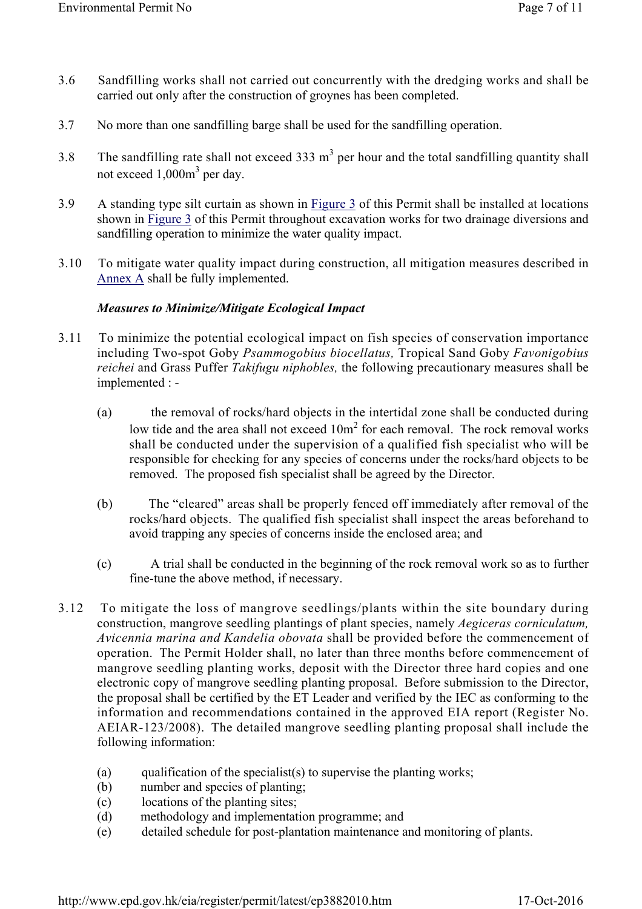- 3.6 Sandfilling works shall not carried out concurrently with the dredging works and shall be carried out only after the construction of groynes has been completed.
- 3.7 No more than one sandfilling barge shall be used for the sandfilling operation.
- 3.8 The sandfilling rate shall not exceed 333  $m<sup>3</sup>$  per hour and the total sandfilling quantity shall not exceed 1,000m<sup>3</sup> per day.
- 3.9 A standing type silt curtain as shown in Figure 3 of this Permit shall be installed at locations shown in Figure 3 of this Permit throughout excavation works for two drainage diversions and sandfilling operation to minimize the water quality impact.
- 3.10 To mitigate water quality impact during construction, all mitigation measures described in Annex A shall be fully implemented.

## *Measures to Minimize/Mitigate Ecological Impact*

- 3.11 To minimize the potential ecological impact on fish species of conservation importance including Two-spot Goby *Psammogobius biocellatus,* Tropical Sand Goby *Favonigobius reichei* and Grass Puffer *Takifugu niphobles,* the following precautionary measures shall be implemented : -
	- (a) the removal of rocks/hard objects in the intertidal zone shall be conducted during low tide and the area shall not exceed  $10m<sup>2</sup>$  for each removal. The rock removal works shall be conducted under the supervision of a qualified fish specialist who will be responsible for checking for any species of concerns under the rocks/hard objects to be removed. The proposed fish specialist shall be agreed by the Director.
	- (b) The "cleared" areas shall be properly fenced off immediately after removal of the rocks/hard objects. The qualified fish specialist shall inspect the areas beforehand to avoid trapping any species of concerns inside the enclosed area; and
	- (c) A trial shall be conducted in the beginning of the rock removal work so as to further fine-tune the above method, if necessary.
- 3.12 To mitigate the loss of mangrove seedlings/plants within the site boundary during construction, mangrove seedling plantings of plant species, namely *Aegiceras corniculatum, Avicennia marina and Kandelia obovata* shall be provided before the commencement of operation. The Permit Holder shall, no later than three months before commencement of mangrove seedling planting works, deposit with the Director three hard copies and one electronic copy of mangrove seedling planting proposal. Before submission to the Director, the proposal shall be certified by the ET Leader and verified by the IEC as conforming to the information and recommendations contained in the approved EIA report (Register No. AEIAR-123/2008). The detailed mangrove seedling planting proposal shall include the following information:
	- (a) qualification of the specialist(s) to supervise the planting works;
	- (b) number and species of planting;
	- (c) locations of the planting sites;
	- (d) methodology and implementation programme; and
	- (e) detailed schedule for post-plantation maintenance and monitoring of plants.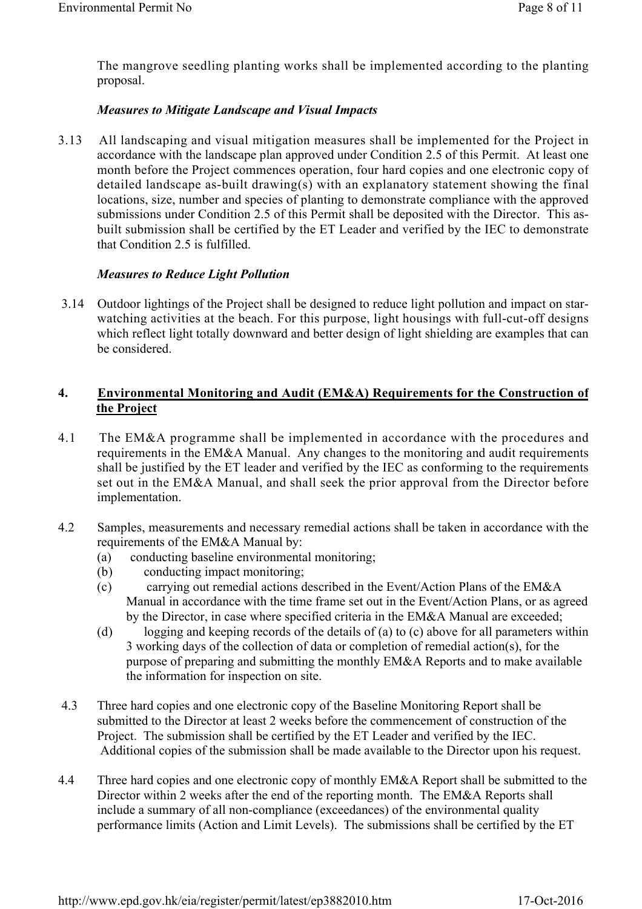The mangrove seedling planting works shall be implemented according to the planting proposal.

## *Measures to Mitigate Landscape and Visual Impacts*

3.13 All landscaping and visual mitigation measures shall be implemented for the Project in accordance with the landscape plan approved under Condition 2.5 of this Permit. At least one month before the Project commences operation, four hard copies and one electronic copy of detailed landscape as-built drawing(s) with an explanatory statement showing the final locations, size, number and species of planting to demonstrate compliance with the approved submissions under Condition 2.5 of this Permit shall be deposited with the Director. This asbuilt submission shall be certified by the ET Leader and verified by the IEC to demonstrate that Condition 2.5 is fulfilled.

#### *Measures to Reduce Light Pollution*

3.14 Outdoor lightings of the Project shall be designed to reduce light pollution and impact on starwatching activities at the beach. For this purpose, light housings with full-cut-off designs which reflect light totally downward and better design of light shielding are examples that can be considered.

## **4. Environmental Monitoring and Audit (EM&A) Requirements for the Construction of the Project**

- 4.1 The EM&A programme shall be implemented in accordance with the procedures and requirements in the EM&A Manual. Any changes to the monitoring and audit requirements shall be justified by the ET leader and verified by the IEC as conforming to the requirements set out in the EM&A Manual, and shall seek the prior approval from the Director before implementation.
- 4.2 Samples, measurements and necessary remedial actions shall be taken in accordance with the requirements of the EM&A Manual by:
	- (a) conducting baseline environmental monitoring;
	- (b) conducting impact monitoring;
	- (c) carrying out remedial actions described in the Event/Action Plans of the EM&A Manual in accordance with the time frame set out in the Event/Action Plans, or as agreed by the Director, in case where specified criteria in the EM&A Manual are exceeded;
	- (d) logging and keeping records of the details of (a) to (c) above for all parameters within 3 working days of the collection of data or completion of remedial action(s), for the purpose of preparing and submitting the monthly EM&A Reports and to make available the information for inspection on site.
- 4.3 Three hard copies and one electronic copy of the Baseline Monitoring Report shall be submitted to the Director at least 2 weeks before the commencement of construction of the Project. The submission shall be certified by the ET Leader and verified by the IEC. Additional copies of the submission shall be made available to the Director upon his request.
- 4.4 Three hard copies and one electronic copy of monthly EM&A Report shall be submitted to the Director within 2 weeks after the end of the reporting month. The EM&A Reports shall include a summary of all non-compliance (exceedances) of the environmental quality performance limits (Action and Limit Levels). The submissions shall be certified by the ET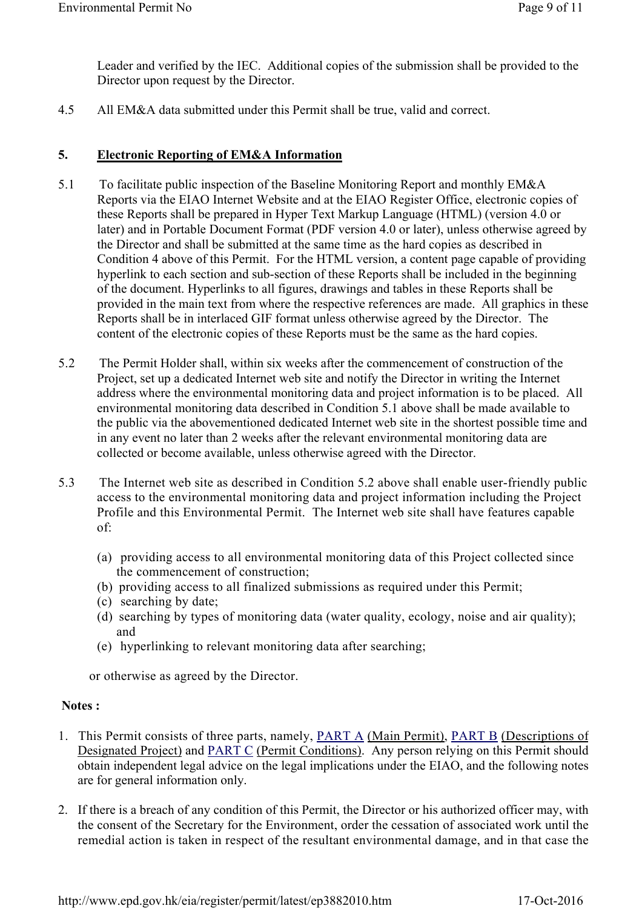Leader and verified by the IEC. Additional copies of the submission shall be provided to the Director upon request by the Director.

4.5 All EM&A data submitted under this Permit shall be true, valid and correct.

## **5. Electronic Reporting of EM&A Information**

- 5.1 To facilitate public inspection of the Baseline Monitoring Report and monthly EM&A Reports via the EIAO Internet Website and at the EIAO Register Office, electronic copies of these Reports shall be prepared in Hyper Text Markup Language (HTML) (version 4.0 or later) and in Portable Document Format (PDF version 4.0 or later), unless otherwise agreed by the Director and shall be submitted at the same time as the hard copies as described in Condition 4 above of this Permit. For the HTML version, a content page capable of providing hyperlink to each section and sub-section of these Reports shall be included in the beginning of the document. Hyperlinks to all figures, drawings and tables in these Reports shall be provided in the main text from where the respective references are made. All graphics in these Reports shall be in interlaced GIF format unless otherwise agreed by the Director. The content of the electronic copies of these Reports must be the same as the hard copies.
- 5.2 The Permit Holder shall, within six weeks after the commencement of construction of the Project, set up a dedicated Internet web site and notify the Director in writing the Internet address where the environmental monitoring data and project information is to be placed. All environmental monitoring data described in Condition 5.1 above shall be made available to the public via the abovementioned dedicated Internet web site in the shortest possible time and in any event no later than 2 weeks after the relevant environmental monitoring data are collected or become available, unless otherwise agreed with the Director.
- 5.3 The Internet web site as described in Condition 5.2 above shall enable user-friendly public access to the environmental monitoring data and project information including the Project Profile and this Environmental Permit. The Internet web site shall have features capable of:
	- (a) providing access to all environmental monitoring data of this Project collected since the commencement of construction;
	- (b) providing access to all finalized submissions as required under this Permit;
	- (c) searching by date;
	- (d) searching by types of monitoring data (water quality, ecology, noise and air quality); and
	- (e) hyperlinking to relevant monitoring data after searching;

or otherwise as agreed by the Director.

## **Notes :**

- 1. This Permit consists of three parts, namely, PART A (Main Permit), PART B (Descriptions of Designated Project) and PART C (Permit Conditions). Any person relying on this Permit should obtain independent legal advice on the legal implications under the EIAO, and the following notes are for general information only.
- 2. If there is a breach of any condition of this Permit, the Director or his authorized officer may, with the consent of the Secretary for the Environment, order the cessation of associated work until the remedial action is taken in respect of the resultant environmental damage, and in that case the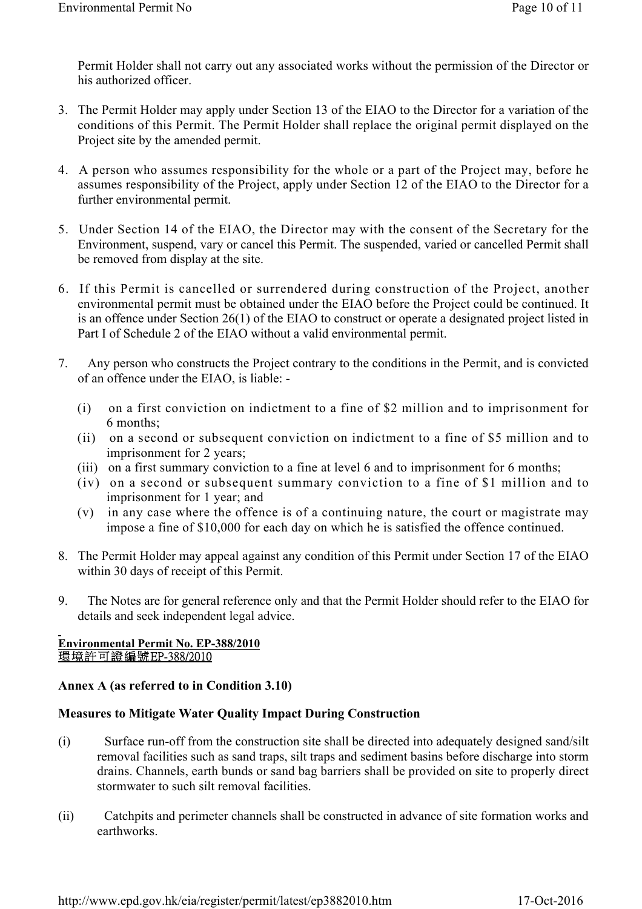Permit Holder shall not carry out any associated works without the permission of the Director or his authorized officer.

- 3. The Permit Holder may apply under Section 13 of the EIAO to the Director for a variation of the conditions of this Permit. The Permit Holder shall replace the original permit displayed on the Project site by the amended permit.
- 4. A person who assumes responsibility for the whole or a part of the Project may, before he assumes responsibility of the Project, apply under Section 12 of the EIAO to the Director for a further environmental permit.
- 5. Under Section 14 of the EIAO, the Director may with the consent of the Secretary for the Environment, suspend, vary or cancel this Permit. The suspended, varied or cancelled Permit shall be removed from display at the site.
- 6. If this Permit is cancelled or surrendered during construction of the Project, another environmental permit must be obtained under the EIAO before the Project could be continued. It is an offence under Section 26(1) of the EIAO to construct or operate a designated project listed in Part I of Schedule 2 of the EIAO without a valid environmental permit.
- 7. Any person who constructs the Project contrary to the conditions in the Permit, and is convicted of an offence under the EIAO, is liable: -
	- (i) on a first conviction on indictment to a fine of \$2 million and to imprisonment for 6 months;
	- (ii) on a second or subsequent conviction on indictment to a fine of \$5 million and to imprisonment for 2 years;
	- (iii) on a first summary conviction to a fine at level 6 and to imprisonment for 6 months;
	- (iv) on a second or subsequent summary conviction to a fine of \$1 million and to imprisonment for 1 year; and
	- (v) in any case where the offence is of a continuing nature, the court or magistrate may impose a fine of \$10,000 for each day on which he is satisfied the offence continued.
- 8. The Permit Holder may appeal against any condition of this Permit under Section 17 of the EIAO within 30 days of receipt of this Permit.
- 9. The Notes are for general reference only and that the Permit Holder should refer to the EIAO for details and seek independent legal advice.

## Environmental Permit No. EP-388/2010<br>環境許可證編號EP-388/2010

## **Annex A (as referred to in Condition 3.10)**

## **Measures to Mitigate Water Quality Impact During Construction**

- (i) Surface run-off from the construction site shall be directed into adequately designed sand/silt removal facilities such as sand traps, silt traps and sediment basins before discharge into storm drains. Channels, earth bunds or sand bag barriers shall be provided on site to properly direct stormwater to such silt removal facilities.
- (ii) Catchpits and perimeter channels shall be constructed in advance of site formation works and earthworks.